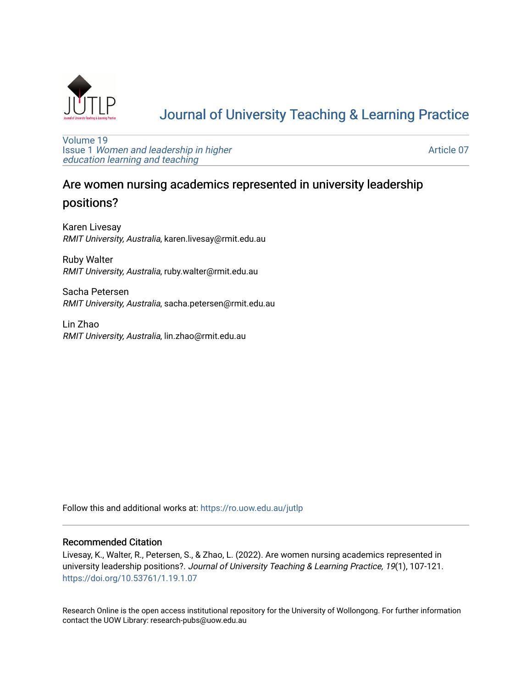

# [Journal of University Teaching & Learning Practice](https://ro.uow.edu.au/jutlp)

[Volume 19](https://ro.uow.edu.au/jutlp/vol19) Issue 1 [Women and leadership in higher](https://ro.uow.edu.au/jutlp/vol19/iss1) [education learning and teaching](https://ro.uow.edu.au/jutlp/vol19/iss1)

[Article 07](https://ro.uow.edu.au/jutlp/vol19/iss1/07) 

# Are women nursing academics represented in university leadership positions?

Karen Livesay RMIT University, Australia, karen.livesay@rmit.edu.au

Ruby Walter RMIT University, Australia, ruby.walter@rmit.edu.au

Sacha Petersen RMIT University, Australia, sacha.petersen@rmit.edu.au

Lin Zhao RMIT University, Australia, lin.zhao@rmit.edu.au

Follow this and additional works at: [https://ro.uow.edu.au/jutlp](https://ro.uow.edu.au/jutlp?utm_source=ro.uow.edu.au%2Fjutlp%2Fvol19%2Fiss1%2F07&utm_medium=PDF&utm_campaign=PDFCoverPages) 

#### Recommended Citation

Livesay, K., Walter, R., Petersen, S., & Zhao, L. (2022). Are women nursing academics represented in university leadership positions?. Journal of University Teaching & Learning Practice, 19(1), 107-121. <https://doi.org/10.53761/1.19.1.07>

Research Online is the open access institutional repository for the University of Wollongong. For further information contact the UOW Library: research-pubs@uow.edu.au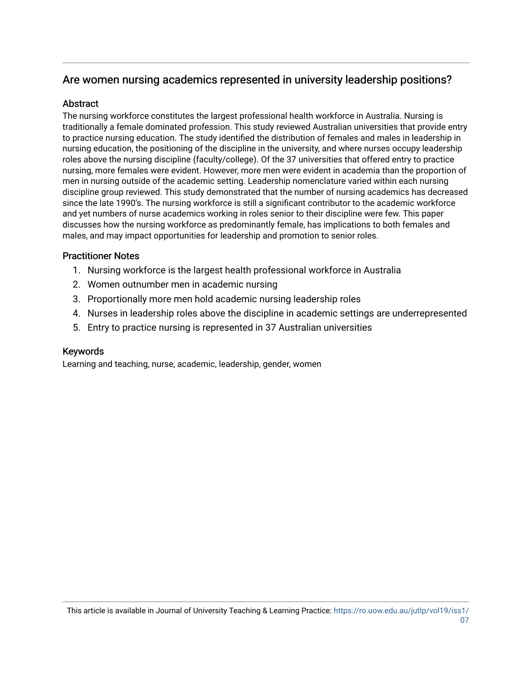## Are women nursing academics represented in university leadership positions?

## Abstract

The nursing workforce constitutes the largest professional health workforce in Australia. Nursing is traditionally a female dominated profession. This study reviewed Australian universities that provide entry to practice nursing education. The study identified the distribution of females and males in leadership in nursing education, the positioning of the discipline in the university, and where nurses occupy leadership roles above the nursing discipline (faculty/college). Of the 37 universities that offered entry to practice nursing, more females were evident. However, more men were evident in academia than the proportion of men in nursing outside of the academic setting. Leadership nomenclature varied within each nursing discipline group reviewed. This study demonstrated that the number of nursing academics has decreased since the late 1990's. The nursing workforce is still a significant contributor to the academic workforce and yet numbers of nurse academics working in roles senior to their discipline were few. This paper discusses how the nursing workforce as predominantly female, has implications to both females and males, and may impact opportunities for leadership and promotion to senior roles.

## Practitioner Notes

- 1. Nursing workforce is the largest health professional workforce in Australia
- 2. Women outnumber men in academic nursing
- 3. Proportionally more men hold academic nursing leadership roles
- 4. Nurses in leadership roles above the discipline in academic settings are underrepresented
- 5. Entry to practice nursing is represented in 37 Australian universities

## Keywords

Learning and teaching, nurse, academic, leadership, gender, women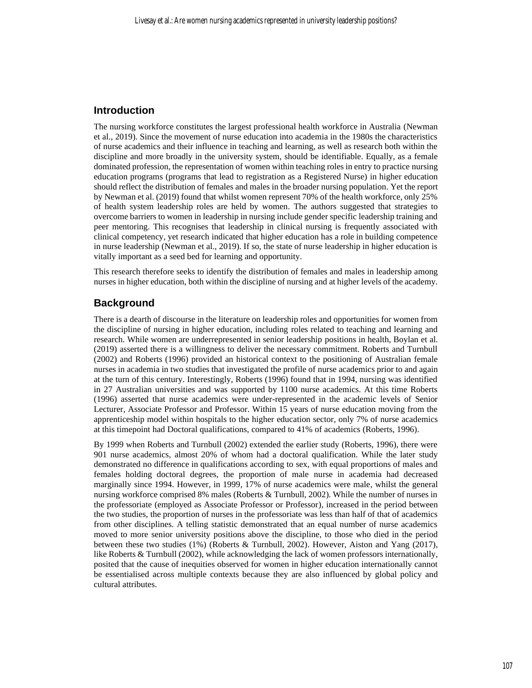### **Introduction**

The nursing workforce constitutes the largest professional health workforce in Australia (Newman et al., 2019). Since the movement of nurse education into academia in the 1980s the characteristics of nurse academics and their influence in teaching and learning, as well as research both within the discipline and more broadly in the university system, should be identifiable. Equally, as a female dominated profession, the representation of women within teaching roles in entry to practice nursing education programs (programs that lead to registration as a Registered Nurse) in higher education should reflect the distribution of females and males in the broader nursing population. Yet the report by Newman et al. (2019) found that whilst women represent 70% of the health workforce, only 25% of health system leadership roles are held by women. The authors suggested that strategies to overcome barriers to women in leadership in nursing include gender specific leadership training and peer mentoring. This recognises that leadership in clinical nursing is frequently associated with clinical competency, yet research indicated that higher education has a role in building competence in nurse leadership (Newman et al., 2019). If so, the state of nurse leadership in higher education is vitally important as a seed bed for learning and opportunity.

This research therefore seeks to identify the distribution of females and males in leadership among nurses in higher education, both within the discipline of nursing and at higher levels of the academy.

## **Background**

There is a dearth of discourse in the literature on leadership roles and opportunities for women from the discipline of nursing in higher education, including roles related to teaching and learning and research. While women are underrepresented in senior leadership positions in health, Boylan et al. (2019) asserted there is a willingness to deliver the necessary commitment. Roberts and Turnbull (2002) and Roberts (1996) provided an historical context to the positioning of Australian female nurses in academia in two studies that investigated the profile of nurse academics prior to and again at the turn of this century. Interestingly, Roberts (1996) found that in 1994, nursing was identified in 27 Australian universities and was supported by 1100 nurse academics. At this time Roberts (1996) asserted that nurse academics were under-represented in the academic levels of Senior Lecturer, Associate Professor and Professor. Within 15 years of nurse education moving from the apprenticeship model within hospitals to the higher education sector, only 7% of nurse academics at this timepoint had Doctoral qualifications, compared to 41% of academics (Roberts, 1996).

By 1999 when Roberts and Turnbull (2002) extended the earlier study (Roberts, 1996), there were 901 nurse academics, almost 20% of whom had a doctoral qualification. While the later study demonstrated no difference in qualifications according to sex, with equal proportions of males and females holding doctoral degrees, the proportion of male nurse in academia had decreased marginally since 1994. However, in 1999, 17% of nurse academics were male, whilst the general nursing workforce comprised 8% males (Roberts & Turnbull, 2002). While the number of nurses in the professoriate (employed as Associate Professor or Professor), increased in the period between the two studies, the proportion of nurses in the professoriate was less than half of that of academics from other disciplines. A telling statistic demonstrated that an equal number of nurse academics moved to more senior university positions above the discipline, to those who died in the period between these two studies (1%) (Roberts & Turnbull, 2002). However, Aiston and Yang (2017), like Roberts & Turnbull (2002), while acknowledging the lack of women professors internationally, posited that the cause of inequities observed for women in higher education internationally cannot be essentialised across multiple contexts because they are also influenced by global policy and cultural attributes.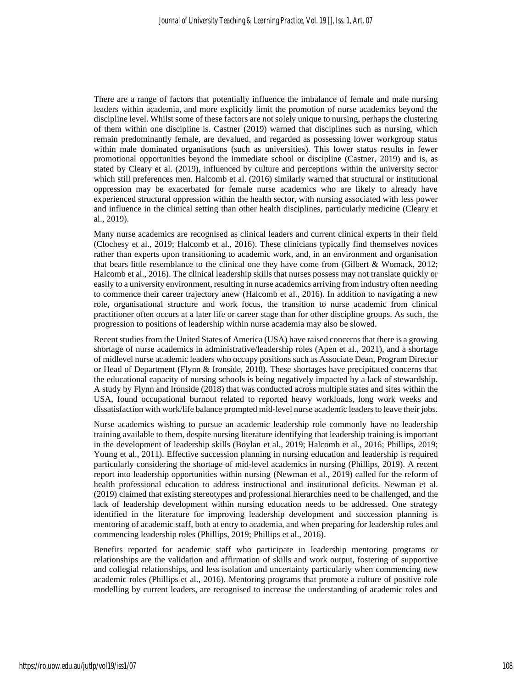There are a range of factors that potentially influence the imbalance of female and male nursing leaders within academia, and more explicitly limit the promotion of nurse academics beyond the discipline level. Whilst some of these factors are not solely unique to nursing, perhaps the clustering of them within one discipline is. Castner (2019) warned that disciplines such as nursing, which remain predominantly female, are devalued, and regarded as possessing lower workgroup status within male dominated organisations (such as universities). This lower status results in fewer promotional opportunities beyond the immediate school or discipline (Castner, 2019) and is, as stated by Cleary et al. (2019), influenced by culture and perceptions within the university sector which still preferences men. Halcomb et al. (2016) similarly warned that structural or institutional oppression may be exacerbated for female nurse academics who are likely to already have experienced structural oppression within the health sector, with nursing associated with less power and influence in the clinical setting than other health disciplines, particularly medicine (Cleary et al., 2019).

Many nurse academics are recognised as clinical leaders and current clinical experts in their field (Clochesy et al., 2019; Halcomb et al., 2016). These clinicians typically find themselves novices rather than experts upon transitioning to academic work, and, in an environment and organisation that bears little resemblance to the clinical one they have come from (Gilbert & Womack, 2012; Halcomb et al., 2016). The clinical leadership skills that nurses possess may not translate quickly or easily to a university environment, resulting in nurse academics arriving from industry often needing to commence their career trajectory anew (Halcomb et al., 2016). In addition to navigating a new role, organisational structure and work focus, the transition to nurse academic from clinical practitioner often occurs at a later life or career stage than for other discipline groups. As such, the progression to positions of leadership within nurse academia may also be slowed.

Recent studies from the United States of America (USA) have raised concerns that there is a growing shortage of nurse academics in administrative/leadership roles (Apen et al., 2021), and a shortage of midlevel nurse academic leaders who occupy positions such as Associate Dean, Program Director or Head of Department (Flynn & Ironside, 2018). These shortages have precipitated concerns that the educational capacity of nursing schools is being negatively impacted by a lack of stewardship. A study by Flynn and Ironside (2018) that was conducted across multiple states and sites within the USA, found occupational burnout related to reported heavy workloads, long work weeks and dissatisfaction with work/life balance prompted mid-level nurse academic leaders to leave their jobs.

Nurse academics wishing to pursue an academic leadership role commonly have no leadership training available to them, despite nursing literature identifying that leadership training is important in the development of leadership skills (Boylan et al., 2019; Halcomb et al., 2016; Phillips, 2019; Young et al., 2011). Effective succession planning in nursing education and leadership is required particularly considering the shortage of mid-level academics in nursing (Phillips, 2019). A recent report into leadership opportunities within nursing (Newman et al., 2019) called for the reform of health professional education to address instructional and institutional deficits. Newman et al. (2019) claimed that existing stereotypes and professional hierarchies need to be challenged, and the lack of leadership development within nursing education needs to be addressed. One strategy identified in the literature for improving leadership development and succession planning is mentoring of academic staff, both at entry to academia, and when preparing for leadership roles and commencing leadership roles (Phillips, 2019; Phillips et al., 2016).

Benefits reported for academic staff who participate in leadership mentoring programs or relationships are the validation and affirmation of skills and work output, fostering of supportive and collegial relationships, and less isolation and uncertainty particularly when commencing new academic roles (Phillips et al., 2016). Mentoring programs that promote a culture of positive role modelling by current leaders, are recognised to increase the understanding of academic roles and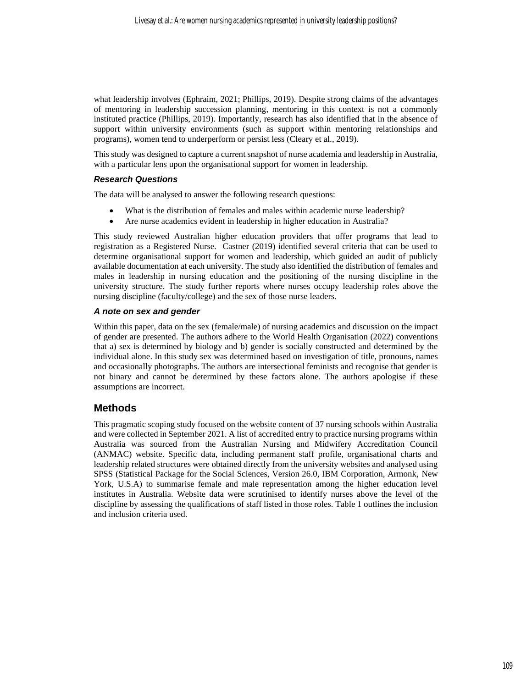what leadership involves (Ephraim, 2021; Phillips, 2019). Despite strong claims of the advantages of mentoring in leadership succession planning, mentoring in this context is not a commonly instituted practice (Phillips, 2019). Importantly, research has also identified that in the absence of support within university environments (such as support within mentoring relationships and programs), women tend to underperform or persist less (Cleary et al., 2019).

This study was designed to capture a current snapshot of nurse academia and leadership in Australia, with a particular lens upon the organisational support for women in leadership.

#### *Research Questions*

The data will be analysed to answer the following research questions:

- What is the distribution of females and males within academic nurse leadership?
- Are nurse academics evident in leadership in higher education in Australia?

This study reviewed Australian higher education providers that offer programs that lead to registration as a Registered Nurse. Castner (2019) identified several criteria that can be used to determine organisational support for women and leadership, which guided an audit of publicly available documentation at each university. The study also identified the distribution of females and males in leadership in nursing education and the positioning of the nursing discipline in the university structure. The study further reports where nurses occupy leadership roles above the nursing discipline (faculty/college) and the sex of those nurse leaders.

#### *A note on sex and gender*

Within this paper, data on the sex (female/male) of nursing academics and discussion on the impact of gender are presented. The authors adhere to the World Health Organisation (2022) conventions that a) sex is determined by biology and b) gender is socially constructed and determined by the individual alone. In this study sex was determined based on investigation of title, pronouns, names and occasionally photographs. The authors are intersectional feminists and recognise that gender is not binary and cannot be determined by these factors alone. The authors apologise if these assumptions are incorrect.

## **Methods**

This pragmatic scoping study focused on the website content of 37 nursing schools within Australia and were collected in September 2021. A list of accredited entry to practice nursing programs within Australia was sourced from the Australian Nursing and Midwifery Accreditation Council (ANMAC) website. Specific data, including permanent staff profile, organisational charts and leadership related structures were obtained directly from the university websites and analysed using SPSS (Statistical Package for the Social Sciences, Version 26.0, IBM Corporation, Armonk, New York, U.S.A) to summarise female and male representation among the higher education level institutes in Australia. Website data were scrutinised to identify nurses above the level of the discipline by assessing the qualifications of staff listed in those roles. Table 1 outlines the inclusion and inclusion criteria used.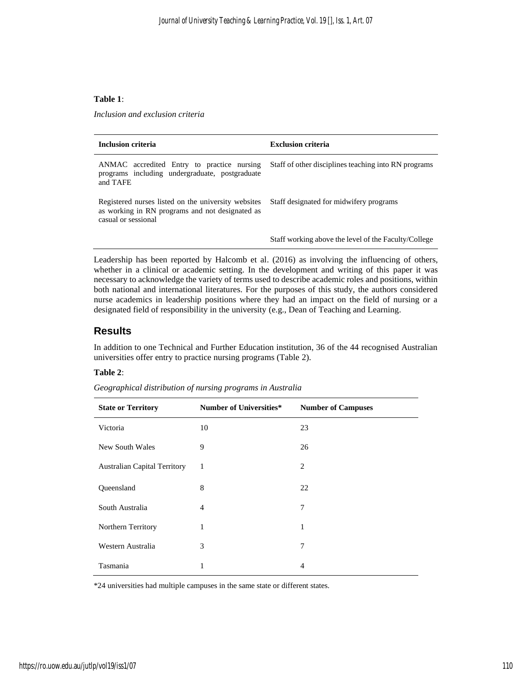#### **Table 1**:

*Inclusion and exclusion criteria*

| Inclusion criteria                                                                                                            | <b>Exclusion criteria</b>                            |  |  |
|-------------------------------------------------------------------------------------------------------------------------------|------------------------------------------------------|--|--|
| ANMAC accredited Entry to practice nursing<br>programs including undergraduate, postgraduate<br>and TAFE                      | Staff of other disciplines teaching into RN programs |  |  |
| Registered nurses listed on the university websites<br>as working in RN programs and not designated as<br>casual or sessional | Staff designated for midwifery programs              |  |  |
|                                                                                                                               | Staff working above the level of the Faculty/College |  |  |

Leadership has been reported by Halcomb et al. (2016) as involving the influencing of others, whether in a clinical or academic setting. In the development and writing of this paper it was necessary to acknowledge the variety of terms used to describe academic roles and positions, within both national and international literatures. For the purposes of this study, the authors considered nurse academics in leadership positions where they had an impact on the field of nursing or a designated field of responsibility in the university (e.g., Dean of Teaching and Learning.

#### **Results**

In addition to one Technical and Further Education institution, 36 of the 44 recognised Australian universities offer entry to practice nursing programs (Table 2).

#### **Table 2**:

| <b>State or Territory</b>           | <b>Number of Universities*</b> | <b>Number of Campuses</b> |  |
|-------------------------------------|--------------------------------|---------------------------|--|
| Victoria                            | 10                             | 23                        |  |
| New South Wales                     | 9                              | 26                        |  |
| <b>Australian Capital Territory</b> | 1                              | $\overline{2}$            |  |
| Queensland                          | 8                              | 22                        |  |
| South Australia                     | $\overline{4}$                 | 7                         |  |
| Northern Territory                  | 1                              | 1                         |  |
| Western Australia                   | 3                              | 7                         |  |
| Tasmania                            | 1                              | 4                         |  |

*Geographical distribution of nursing programs in Australia*

\*24 universities had multiple campuses in the same state or different states.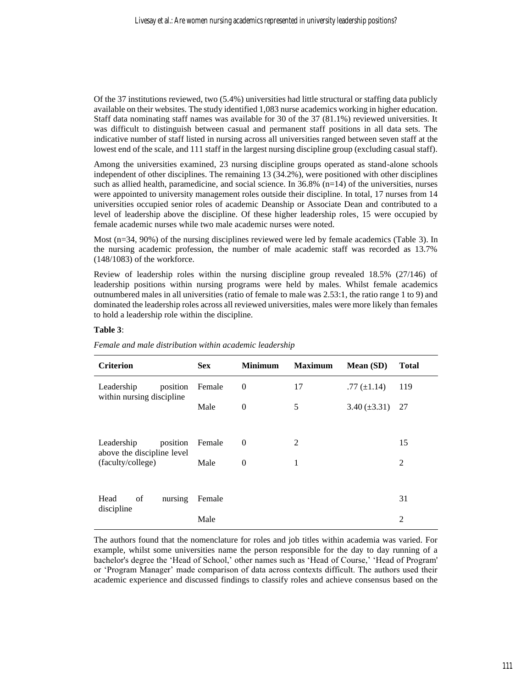Of the 37 institutions reviewed, two (5.4%) universities had little structural or staffing data publicly available on their websites. The study identified 1,083 nurse academics working in higher education. Staff data nominating staff names was available for 30 of the 37 (81.1%) reviewed universities. It was difficult to distinguish between casual and permanent staff positions in all data sets. The indicative number of staff listed in nursing across all universities ranged between seven staff at the lowest end of the scale, and 111 staff in the largest nursing discipline group (excluding casual staff).

Among the universities examined, 23 nursing discipline groups operated as stand-alone schools independent of other disciplines. The remaining 13 (34.2%), were positioned with other disciplines such as allied health, paramedicine, and social science. In  $36.8\%$  (n=14) of the universities, nurses were appointed to university management roles outside their discipline. In total, 17 nurses from 14 universities occupied senior roles of academic Deanship or Associate Dean and contributed to a level of leadership above the discipline. Of these higher leadership roles, 15 were occupied by female academic nurses while two male academic nurses were noted.

Most (n=34, 90%) of the nursing disciplines reviewed were led by female academics (Table 3). In the nursing academic profession, the number of male academic staff was recorded as 13.7% (148/1083) of the workforce.

Review of leadership roles within the nursing discipline group revealed 18.5% (27/146) of leadership positions within nursing programs were held by males. Whilst female academics outnumbered males in all universities (ratio of female to male was 2.53:1, the ratio range 1 to 9) and dominated the leadership roles across all reviewed universities, males were more likely than females to hold a leadership role within the discipline.

#### **Table 3**:

| <b>Criterion</b>                                                          | <b>Sex</b> | <b>Minimum</b> | <b>Maximum</b> | Mean (SD)         | <b>Total</b>   |
|---------------------------------------------------------------------------|------------|----------------|----------------|-------------------|----------------|
| Leadership<br>position<br>within nursing discipline                       | Female     | $\mathbf{0}$   | 17             | .77 $(\pm 1.14)$  | 119            |
|                                                                           | Male       | $\overline{0}$ | 5              | $3.40 (\pm 3.31)$ | 27             |
|                                                                           |            |                |                |                   |                |
| Leadership<br>position<br>above the discipline level<br>(faculty/college) | Female     | $\theta$       | 2              |                   | 15             |
|                                                                           | Male       | $\theta$       | 1              |                   | $\overline{2}$ |
|                                                                           |            |                |                |                   |                |
| Head<br>of<br>nursing<br>discipline                                       | Female     |                |                |                   | 31             |
|                                                                           | Male       |                |                |                   | 2              |

*Female and male distribution within academic leadership*

The authors found that the nomenclature for roles and job titles within academia was varied. For example, whilst some universities name the person responsible for the day to day running of a bachelor's degree the 'Head of School,' other names such as 'Head of Course,' 'Head of Program' or 'Program Manager' made comparison of data across contexts difficult. The authors used their academic experience and discussed findings to classify roles and achieve consensus based on the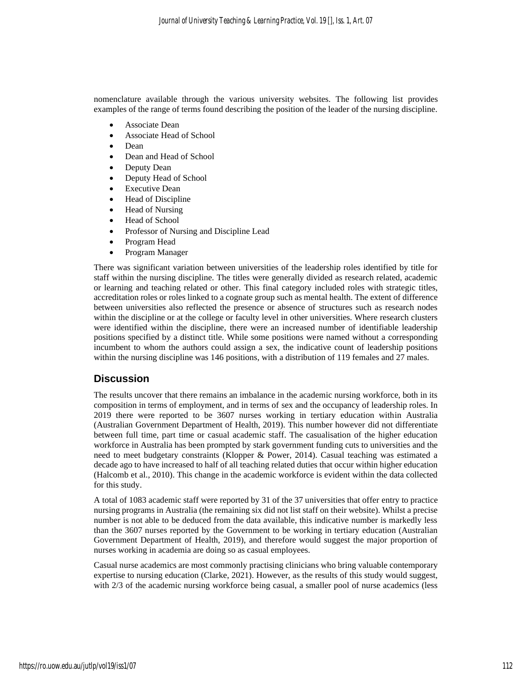nomenclature available through the various university websites. The following list provides examples of the range of terms found describing the position of the leader of the nursing discipline.

- Associate Dean
- Associate Head of School
- Dean
- Dean and Head of School
- Deputy Dean
- Deputy Head of School
- Executive Dean
- Head of Discipline
- Head of Nursing
- Head of School
- Professor of Nursing and Discipline Lead
- Program Head
- Program Manager

There was significant variation between universities of the leadership roles identified by title for staff within the nursing discipline. The titles were generally divided as research related, academic or learning and teaching related or other. This final category included roles with strategic titles, accreditation roles or roles linked to a cognate group such as mental health. The extent of difference between universities also reflected the presence or absence of structures such as research nodes within the discipline or at the college or faculty level in other universities. Where research clusters were identified within the discipline, there were an increased number of identifiable leadership positions specified by a distinct title. While some positions were named without a corresponding incumbent to whom the authors could assign a sex, the indicative count of leadership positions within the nursing discipline was 146 positions, with a distribution of 119 females and 27 males.

#### **Discussion**

The results uncover that there remains an imbalance in the academic nursing workforce, both in its composition in terms of employment, and in terms of sex and the occupancy of leadership roles. In 2019 there were reported to be 3607 nurses working in tertiary education within Australia (Australian Government Department of Health, 2019). This number however did not differentiate between full time, part time or casual academic staff. The casualisation of the higher education workforce in Australia has been prompted by stark government funding cuts to universities and the need to meet budgetary constraints (Klopper & Power, 2014). Casual teaching was estimated a decade ago to have increased to half of all teaching related duties that occur within higher education (Halcomb et al., 2010). This change in the academic workforce is evident within the data collected for this study.

A total of 1083 academic staff were reported by 31 of the 37 universities that offer entry to practice nursing programs in Australia (the remaining six did not list staff on their website). Whilst a precise number is not able to be deduced from the data available, this indicative number is markedly less than the 3607 nurses reported by the Government to be working in tertiary education (Australian Government Department of Health, 2019), and therefore would suggest the major proportion of nurses working in academia are doing so as casual employees.

Casual nurse academics are most commonly practising clinicians who bring valuable contemporary expertise to nursing education (Clarke, 2021). However, as the results of this study would suggest, with 2/3 of the academic nursing workforce being casual, a smaller pool of nurse academics (less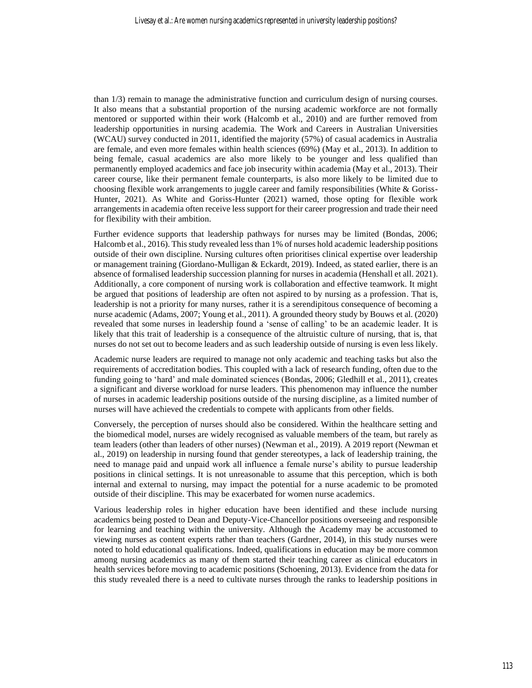than 1/3) remain to manage the administrative function and curriculum design of nursing courses. It also means that a substantial proportion of the nursing academic workforce are not formally mentored or supported within their work (Halcomb et al., 2010) and are further removed from leadership opportunities in nursing academia. The Work and Careers in Australian Universities (WCAU) survey conducted in 2011, identified the majority (57%) of casual academics in Australia are female, and even more females within health sciences (69%) (May et al., 2013). In addition to being female, casual academics are also more likely to be younger and less qualified than permanently employed academics and face job insecurity within academia (May et al., 2013). Their career course, like their permanent female counterparts, is also more likely to be limited due to choosing flexible work arrangements to juggle career and family responsibilities (White & Goriss-Hunter, 2021). As White and Goriss-Hunter (2021) warned, those opting for flexible work arrangements in academia often receive less support for their career progression and trade their need for flexibility with their ambition.

Further evidence supports that leadership pathways for nurses may be limited (Bondas, 2006; Halcomb et al., 2016). This study revealed less than 1% of nurses hold academic leadership positions outside of their own discipline. Nursing cultures often prioritises clinical expertise over leadership or management training (Giordano-Mulligan & Eckardt, 2019). Indeed, as stated earlier, there is an absence of formalised leadership succession planning for nurses in academia (Henshall et all. 2021). Additionally, a core component of nursing work is collaboration and effective teamwork. It might be argued that positions of leadership are often not aspired to by nursing as a profession. That is, leadership is not a priority for many nurses, rather it is a serendipitous consequence of becoming a nurse academic (Adams, 2007; Young et al., 2011). A grounded theory study by Bouws et al. (2020) revealed that some nurses in leadership found a 'sense of calling' to be an academic leader. It is likely that this trait of leadership is a consequence of the altruistic culture of nursing, that is, that nurses do not set out to become leaders and as such leadership outside of nursing is even less likely.

Academic nurse leaders are required to manage not only academic and teaching tasks but also the requirements of accreditation bodies. This coupled with a lack of research funding, often due to the funding going to 'hard' and male dominated sciences (Bondas, 2006; Gledhill et al., 2011), creates a significant and diverse workload for nurse leaders. This phenomenon may influence the number of nurses in academic leadership positions outside of the nursing discipline, as a limited number of nurses will have achieved the credentials to compete with applicants from other fields.

Conversely, the perception of nurses should also be considered. Within the healthcare setting and the biomedical model, nurses are widely recognised as valuable members of the team, but rarely as team leaders (other than leaders of other nurses) (Newman et al., 2019). A 2019 report (Newman et al., 2019) on leadership in nursing found that gender stereotypes, a lack of leadership training, the need to manage paid and unpaid work all influence a female nurse's ability to pursue leadership positions in clinical settings. It is not unreasonable to assume that this perception, which is both internal and external to nursing, may impact the potential for a nurse academic to be promoted outside of their discipline. This may be exacerbated for women nurse academics.

Various leadership roles in higher education have been identified and these include nursing academics being posted to Dean and Deputy-Vice-Chancellor positions overseeing and responsible for learning and teaching within the university. Although the Academy may be accustomed to viewing nurses as content experts rather than teachers (Gardner, 2014), in this study nurses were noted to hold educational qualifications. Indeed, qualifications in education may be more common among nursing academics as many of them started their teaching career as clinical educators in health services before moving to academic positions (Schoening, 2013). Evidence from the data for this study revealed there is a need to cultivate nurses through the ranks to leadership positions in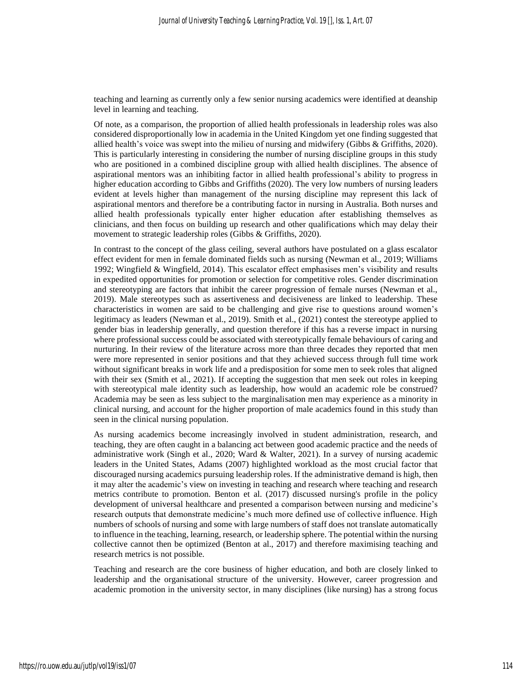teaching and learning as currently only a few senior nursing academics were identified at deanship level in learning and teaching.

Of note, as a comparison, the proportion of allied health professionals in leadership roles was also considered disproportionally low in academia in the United Kingdom yet one finding suggested that allied health's voice was swept into the milieu of nursing and midwifery (Gibbs & Griffiths, 2020). This is particularly interesting in considering the number of nursing discipline groups in this study who are positioned in a combined discipline group with allied health disciplines. The absence of aspirational mentors was an inhibiting factor in allied health professional's ability to progress in higher education according to Gibbs and Griffiths (2020). The very low numbers of nursing leaders evident at levels higher than management of the nursing discipline may represent this lack of aspirational mentors and therefore be a contributing factor in nursing in Australia. Both nurses and allied health professionals typically enter higher education after establishing themselves as clinicians, and then focus on building up research and other qualifications which may delay their movement to strategic leadership roles (Gibbs & Griffiths, 2020).

In contrast to the concept of the glass ceiling, several authors have postulated on a glass escalator effect evident for men in female dominated fields such as nursing (Newman et al., 2019; Williams 1992; Wingfield & Wingfield, 2014). This escalator effect emphasises men's visibility and results in expedited opportunities for promotion or selection for competitive roles. Gender discrimination and stereotyping are factors that inhibit the career progression of female nurses (Newman et al., 2019). Male stereotypes such as assertiveness and decisiveness are linked to leadership. These characteristics in women are said to be challenging and give rise to questions around women's legitimacy as leaders (Newman et al., 2019). Smith et al., (2021) contest the stereotype applied to gender bias in leadership generally, and question therefore if this has a reverse impact in nursing where professional success could be associated with stereotypically female behaviours of caring and nurturing. In their review of the literature across more than three decades they reported that men were more represented in senior positions and that they achieved success through full time work without significant breaks in work life and a predisposition for some men to seek roles that aligned with their sex (Smith et al., 2021). If accepting the suggestion that men seek out roles in keeping with stereotypical male identity such as leadership, how would an academic role be construed? Academia may be seen as less subject to the marginalisation men may experience as a minority in clinical nursing, and account for the higher proportion of male academics found in this study than seen in the clinical nursing population.

As nursing academics become increasingly involved in student administration, research, and teaching, they are often caught in a balancing act between good academic practice and the needs of administrative work (Singh et al., 2020; Ward & Walter, 2021). In a survey of nursing academic leaders in the United States, Adams (2007) highlighted workload as the most crucial factor that discouraged nursing academics pursuing leadership roles. If the administrative demand is high, then it may alter the academic's view on investing in teaching and research where teaching and research metrics contribute to promotion. Benton et al. (2017) discussed nursing's profile in the policy development of universal healthcare and presented a comparison between nursing and medicine's research outputs that demonstrate medicine's much more defined use of collective influence. High numbers of schools of nursing and some with large numbers of staff does not translate automatically to influence in the teaching, learning, research, or leadership sphere. The potential within the nursing collective cannot then be optimized (Benton at al., 2017) and therefore maximising teaching and research metrics is not possible.

Teaching and research are the core business of higher education, and both are closely linked to leadership and the organisational structure of the university. However, career progression and academic promotion in the university sector, in many disciplines (like nursing) has a strong focus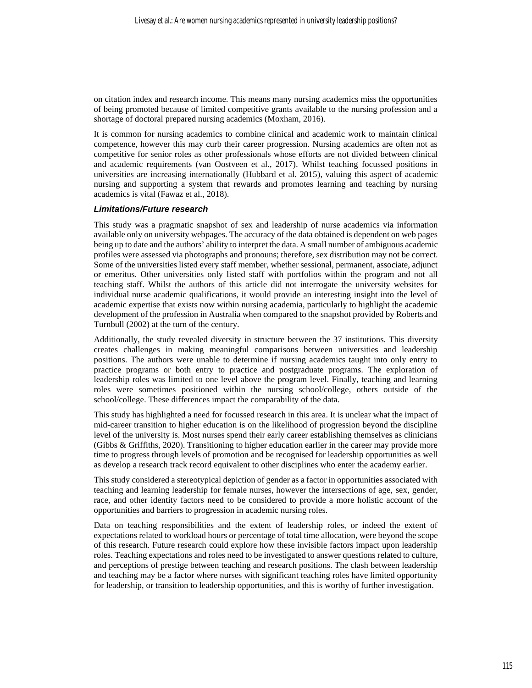on citation index and research income. This means many nursing academics miss the opportunities of being promoted because of limited competitive grants available to the nursing profession and a shortage of doctoral prepared nursing academics (Moxham, 2016).

It is common for nursing academics to combine clinical and academic work to maintain clinical competence, however this may curb their career progression. Nursing academics are often not as competitive for senior roles as other professionals whose efforts are not divided between clinical and academic requirements (van Oostveen et al., 2017). Whilst teaching focussed positions in universities are increasing internationally (Hubbard et al. 2015), valuing this aspect of academic nursing and supporting a system that rewards and promotes learning and teaching by nursing academics is vital (Fawaz et al., 2018).

#### *Limitations/Future research*

This study was a pragmatic snapshot of sex and leadership of nurse academics via information available only on university webpages. The accuracy of the data obtained is dependent on web pages being up to date and the authors' ability to interpret the data. A small number of ambiguous academic profiles were assessed via photographs and pronouns; therefore, sex distribution may not be correct. Some of the universities listed every staff member, whether sessional, permanent, associate, adjunct or emeritus. Other universities only listed staff with portfolios within the program and not all teaching staff. Whilst the authors of this article did not interrogate the university websites for individual nurse academic qualifications, it would provide an interesting insight into the level of academic expertise that exists now within nursing academia, particularly to highlight the academic development of the profession in Australia when compared to the snapshot provided by Roberts and Turnbull (2002) at the turn of the century.

Additionally, the study revealed diversity in structure between the 37 institutions. This diversity creates challenges in making meaningful comparisons between universities and leadership positions. The authors were unable to determine if nursing academics taught into only entry to practice programs or both entry to practice and postgraduate programs. The exploration of leadership roles was limited to one level above the program level. Finally, teaching and learning roles were sometimes positioned within the nursing school/college, others outside of the school/college. These differences impact the comparability of the data.

This study has highlighted a need for focussed research in this area. It is unclear what the impact of mid-career transition to higher education is on the likelihood of progression beyond the discipline level of the university is. Most nurses spend their early career establishing themselves as clinicians (Gibbs & Griffiths, 2020). Transitioning to higher education earlier in the career may provide more time to progress through levels of promotion and be recognised for leadership opportunities as well as develop a research track record equivalent to other disciplines who enter the academy earlier.

This study considered a stereotypical depiction of gender as a factor in opportunities associated with teaching and learning leadership for female nurses, however the intersections of age, sex, gender, race, and other identity factors need to be considered to provide a more holistic account of the opportunities and barriers to progression in academic nursing roles.

Data on teaching responsibilities and the extent of leadership roles, or indeed the extent of expectations related to workload hours or percentage of total time allocation, were beyond the scope of this research. Future research could explore how these invisible factors impact upon leadership roles. Teaching expectations and roles need to be investigated to answer questions related to culture, and perceptions of prestige between teaching and research positions. The clash between leadership and teaching may be a factor where nurses with significant teaching roles have limited opportunity for leadership, or transition to leadership opportunities, and this is worthy of further investigation.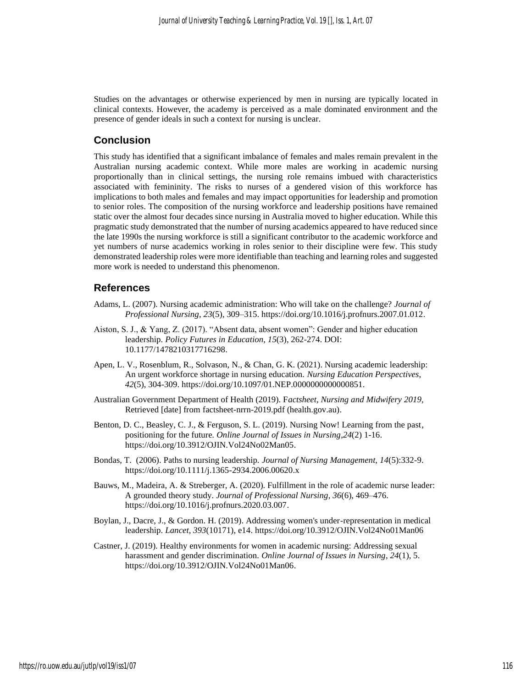Studies on the advantages or otherwise experienced by men in nursing are typically located in clinical contexts. However, the academy is perceived as a male dominated environment and the presence of gender ideals in such a context for nursing is unclear.

#### **Conclusion**

This study has identified that a significant imbalance of females and males remain prevalent in the Australian nursing academic context. While more males are working in academic nursing proportionally than in clinical settings, the nursing role remains imbued with characteristics associated with femininity. The risks to nurses of a gendered vision of this workforce has implications to both males and females and may impact opportunities for leadership and promotion to senior roles. The composition of the nursing workforce and leadership positions have remained static over the almost four decades since nursing in Australia moved to higher education. While this pragmatic study demonstrated that the number of nursing academics appeared to have reduced since the late 1990s the nursing workforce is still a significant contributor to the academic workforce and yet numbers of nurse academics working in roles senior to their discipline were few. This study demonstrated leadership roles were more identifiable than teaching and learning roles and suggested more work is needed to understand this phenomenon.

#### **References**

- Adams, L. (2007). Nursing academic administration: Who will take on the challenge? *Journal of Professional Nursing*, *23*(5), 309–315. [https://doi.org/10.1016/j.profnurs.2007.01.012.](https://doi.org/10.1016/j.profnurs.2007.01.012)
- Aiston, S. J., & Yang, Z. (2017). "Absent data, absent women": Gender and higher education leadership. *Policy Futures in Education*, *15*(3), 262-274. DOI: 10.1177/1478210317716298.
- Apen, L. V., Rosenblum, R., Solvason, N., & Chan, G. K. (2021). Nursing academic leadership: An urgent workforce shortage in nursing education. *Nursing Education Perspectives*, *42*(5), 304-309. https://doi.org/10.1097/01.NEP.0000000000000851.
- Australian Government Department of Health (2019). F*actsheet, Nursing and Midwifery 2019,*  Retrieved [date] from [factsheet-nrrn-2019.pdf \(health.gov.au\).](https://hwd.health.gov.au/resources/publications/factsheet-nrrn-2019.pdf)
- Benton, D. C., Beasley, C. J., & Ferguson, S. L. (2019). Nursing Now! Learning from the past, positioning for the future. *Online Journal of Issues in Nursing*,*24*(2) 1-16. [https://doi.org/10.3912/OJIN.Vol24No02Man05.](https://doi.org/10.3912/OJIN.Vol24No02Man05)
- Bondas, T. (2006). Paths to nursing leadership. *Journal of Nursing Management, 14*(5):332-9. https://doi.org/10.1111/j.1365-2934.2006.00620.x
- Bauws, M., Madeira, A. & Streberger, A. (2020). Fulfillment in the role of academic nurse leader: A grounded theory study. *Journal of Professional Nursing*, *36*(6), 469–476. [https://doi.org/10.1016/j.profnurs.2020.03.007.](https://doi.org/10.1016/j.profnurs.2020.03.007)
- Boylan, J., Dacre, J., & Gordon. H. (2019). Addressing women's under-representation in medical leadership. *Lancet, 393*(10171), e14. https://doi.org/10.3912/OJIN.Vol24No01Man06
- Castner, J. (2019). Healthy environments for women in academic nursing: Addressing sexual harassment and gender discrimination. *Online Journal of Issues in Nursing*, *24*(1), 5. [https://doi.org/10.3912/OJIN.Vol24No01Man06.](https://doi.org/10.3912/OJIN.Vol24No01Man06)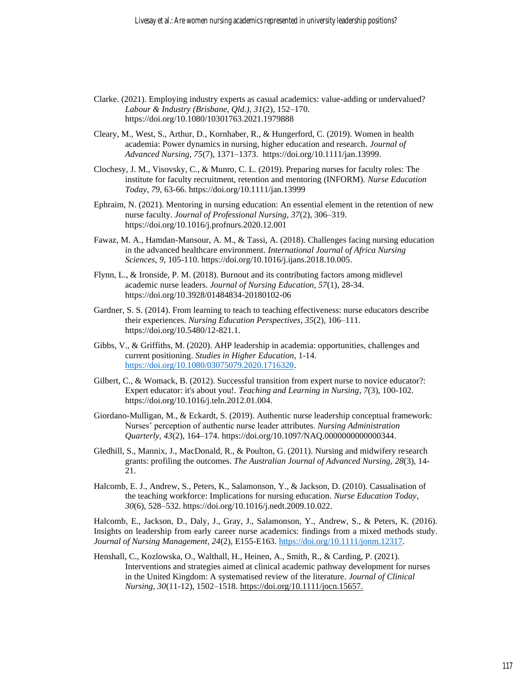- Clarke. (2021). Employing industry experts as casual academics: value-adding or undervalued? *Labour & Industry (Brisbane, Qld.), 31*(2), 152–170. https://doi.org/10.1080/10301763.2021.1979888
- Cleary, M., West, S., Arthur, D., Kornhaber, R., & Hungerford, C. (2019). Women in health academia: Power dynamics in nursing, higher education and research. *Journal of Advanced Nursing, 75*(7), 1371–1373. [https://doi.org/10.1111/jan.13999.](https://doi.org/10.1111/jan.13999)
- Clochesy, J. M., Visovsky, C., & Munro, C. L. (2019). Preparing nurses for faculty roles: The institute for faculty recruitment, retention and mentoring (INFORM). *Nurse Education Today*, *79*, 63-66. https://doi.org/10.1111/jan.13999
- Ephraim, N. (2021). Mentoring in nursing education: An essential element in the retention of new nurse faculty. *Journal of Professional Nursing*, *37*(2), 306–319. <https://doi.org/10.1016/j.profnurs.2020.12.001>
- Fawaz, M. A., Hamdan-Mansour, A. M., & Tassi, A. (2018). Challenges facing nursing education in the advanced healthcare environment*. International Journal of Africa Nursing Sciences, 9*, 105-110. [https://doi.org/10.1016/j.ijans.2018.10.005.](https://doi.org/10.1016/j.ijans.2018.10.005)
- Flynn, L., & Ironside, P. M. (2018). Burnout and its contributing factors among midlevel academic nurse leaders. *Journal of Nursing Education, 57*(1), 28-34. https://doi.org/10.3928/01484834-20180102-06
- Gardner, S. S. (2014). From learning to teach to teaching effectiveness: nurse educators describe their experiences. *Nursing Education Perspectives*, *35*(2), 106–111. [https://doi.org/10.5480/12-821.1.](https://doi.org/10.5480/12-821.1)
- Gibbs, V., & Griffiths, M. (2020). AHP leadership in academia: opportunities, challenges and current positioning. *Studies in Higher Education*, 1-14. [https://doi.org/10.1080/03075079.2020.1716320.](https://doi.org/10.1080/03075079.2020.1716320)
- Gilbert, C., & Womack, B. (2012). Successful transition from expert nurse to novice educator?: Expert educator: it's about you!. *Teaching and Learning in Nursing*, *7*(3), 100-102. [https://doi.org/10.1016/j.teln.2012.01.004.](https://doi.org/10.1016/j.teln.2012.01.004)
- Giordano-Mulligan, M., & Eckardt, S. (2019). Authentic nurse leadership conceptual framework: Nurses' perception of authentic nurse leader attributes*. Nursing Administration Quarterly, 43*(2), 164–174. [https://doi.org/10.1097/NAQ.0000000000000344.](https://doi.org/10.1097/NAQ.0000000000000344)
- Gledhill, S., Mannix, J., MacDonald, R., & Poulton, G. (2011). Nursing and midwifery research grants: profiling the outcomes. *The Australian Journal of Advanced Nursing, 28*(3), 14- 21.
- Halcomb, E. J., Andrew, S., Peters, K., Salamonson, Y., & Jackson, D. (2010). Casualisation of the teaching workforce: Implications for nursing education. *Nurse Education Today*, *30*(6), 528–532[. https://doi.org/10.1016/j.nedt.2009.10.022.](https://doi.org/10.1016/j.nedt.2009.10.022)

Halcomb, E., Jackson, D., Daly, J., Gray, J., Salamonson, Y., Andrew, S., & Peters, K. (2016). Insights on leadership from early career nurse academics: findings from a mixed methods study. *Journal of Nursing Management*, *24*(2), E155-E163. [https://doi.org/10.1111/jonm.12317.](https://doi.org/10.1111/jonm.12317)

Henshall, C., Kozlowska, O., Walthall, H., Heinen, A., Smith, R., & Carding, P. (2021). Interventions and strategies aimed at clinical academic pathway development for nurses in the United Kingdom: A systematised review of the literature*. Journal of Clinical Nursing, 30*(11-12), 1502–1518. [https://doi.org/10.1111/jocn.15657.](https://doi.org/10.1111/jocn.15657)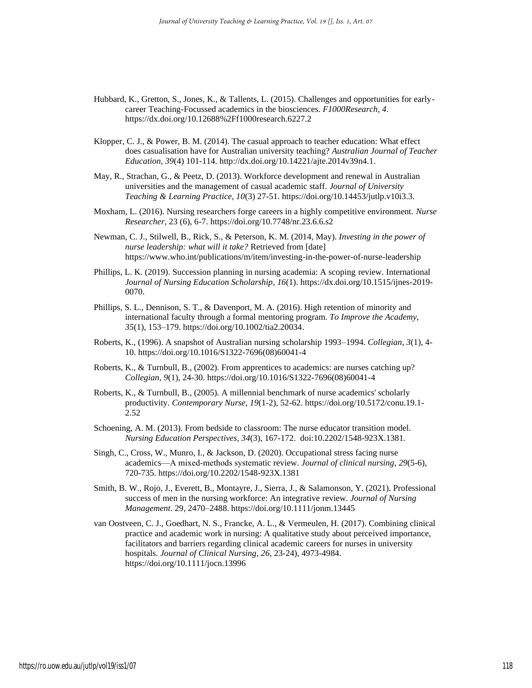- Hubbard, K., Gretton, S., Jones, K., & Tallents, L. (2015). Challenges and opportunities for earlycareer Teaching-Focussed academics in the biosciences. *F1000Research*, *4*. <https://dx.doi.org/10.12688%2Ff1000research.6227.2>
- Klopper, C. J., & Power, B. M. (2014). The casual approach to teacher education: What effect does casualisation have for Australian university teaching? *Australian Journal of Teacher Education, 39*(4) 101-114[. http://dx.doi.org/10.14221/ajte.2014v39n4.1.](http://dx.doi.org/10.14221/ajte.2014v39n4.1)
- May, R., Strachan, G., & Peetz, D. (2013). Workforce development and renewal in Australian universities and the management of casual academic staff*. Journal of University Teaching & Learning Practice, 10*(3) 27-51[. https://doi.org/10.14453/jutlp.v10i3.3.](https://doi.org/10.14453/jutlp.v10i3.3)
- Moxham, L. (2016). Nursing researchers forge careers in a highly competitive environment. *Nurse Researcher*, 23 (6), 6-7. https://doi.org/10.7748/nr.23.6.6.s2
- Newman, C. J., Stilwell, B., Rick, S., & Peterson, K. M. (2014, May). *Investing in the power of nurse leadership: what will it take?* Retrieved from [date] <https://www.who.int/publications/m/item/investing-in-the-power-of-nurse-leadership>
- Phillips, L. K. (2019). Succession planning in nursing academia: A scoping review. International *Journal of Nursing Education Scholarship*, *16*(1)[. https://dx.doi.org/10.1515/ijnes-2019-](https://dx.doi.org/10.1515/ijnes-2019-0070) [0070.](https://dx.doi.org/10.1515/ijnes-2019-0070)
- Phillips, S. L., Dennison, S. T., & Davenport, M. A. (2016). High retention of minority and international faculty through a formal mentoring program. *To Improve the Academy, 35*(1), 153–179[. https://doi.org/10.1002/tia2.20034.](https://doi.org/10.1002/tia2.20034)
- Roberts, K., (1996). A snapshot of Australian nursing scholarship 1993–1994. *Collegian*, *3*(1), 4- 10. https://doi.org/10.1016/S1322-7696(08)60041-4
- Roberts, K., & Turnbull, B., (2002). From apprentices to academics: are nurses catching up? *Collegian*, *9*(1), 24-30. https://doi.org/10.1016/S1322-7696(08)60041-4
- Roberts, K., & Turnbull, B., (2005). A millennial benchmark of nurse academics' scholarly productivity. *Contemporary Nurse*, *19*(1-2), 52-62. https://doi.org/10.5172/conu.19.1- 2.52
- Schoening, A. M. (2013). From bedside to classroom: The nurse educator transition model. *Nursing Education Perspectives*, *34*(3), 167-172. doi:10.2202/1548-923X.1381.
- Singh, C., Cross, W., Munro, I., & Jackson, D. (2020). Occupational stress facing nurse academics—A mixed‐methods systematic review. *Journal of clinical nursing*, *29*(5-6), 720-735. https://doi.org/10.2202/1548-923X.1381
- Smith, B. W., Rojo, J., Everett, B., Montayre, J., Sierra, J., & Salamonson, Y. (2021). Professional success of men in the nursing workforce: An integrative review. *Journal of Nursing Management*. 29, 2470–2488. https://doi.org/10.1111/jonm.13445
- van Oostveen, C. J., Goedhart, N. S., Francke, A. L., & Vermeulen, H. (2017). Combining clinical practice and academic work in nursing: A qualitative study about perceived importance, facilitators and barriers regarding clinical academic careers for nurses in university hospitals. *Journal of Clinical Nursing*, *26*, 23-24), 4973-4984. https://doi.org/10.1111/jocn.13996